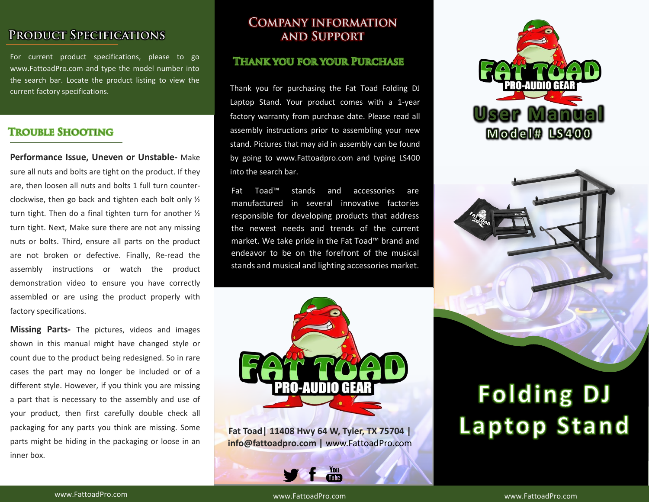## **PRODUCT SPECIFICATIONS**

For current product specifications, please to go www.FattoadPro.com and type the model number into the search bar. Locate the product listing to view the current factory specifications.

### **TROUBLE SHOOTING**

**Performance Issue, Uneven or Unstable-** Make sure all nuts and bolts are tight on the product. If they are, then loosen all nuts and bolts 1 full turn counterclockwise, then go back and tighten each bolt only ½ turn tight. Then do a final tighten turn for another ½ turn tight. Next, Make sure there are not any missing nuts or bolts. Third, ensure all parts on the product are not broken or defective. Finally, Re-read the assembly instructions or watch the product demonstration video to ensure you have correctly assembled or are using the product properly with factory specifications.

**Missing Parts-** The pictures, videos and images shown in this manual might have changed style or count due to the product being redesigned. So in rare cases the part may no longer be included or of a different style. However, if you think you are missing a part that is necessary to the assembly and use of your product, then first carefully double check all packaging for any parts you think are missing. Some parts might be hiding in the packaging or loose in an inner box.

## **COMPANY INFORMATION AND SUPPORT**

#### **THANK YOU FOR YOUR PURCHASE**

Thank you for purchasing the Fat Toad Folding DJ Laptop Stand. Your product comes with a 1-year factory warranty from purchase date. Please read all assembly instructions prior to assembling your new stand. Pictures that may aid in assembly can be found by going to www.Fattoadpro.com and typing LS400 into the search bar.

Fat Toad™ stands and accessories are manufactured in several innovative factories responsible for developing products that address the newest needs and trends of the current market. We take pride in the Fat Toad™ brand and endeavor to be on the forefront of the musical stands and musical and lighting accessories market.



**Fat Toad| 11408 Hwy 64 W, Tyler, TX 75704 | Fat Toad| 11408 Hwy 64 W, Tyler, TX 75704 | info@fattoadpro.com | www.FattoadPro.com info@fattoadpro.com |** www.FattoadPro.com





# **Folding DJ Laptop Stand**